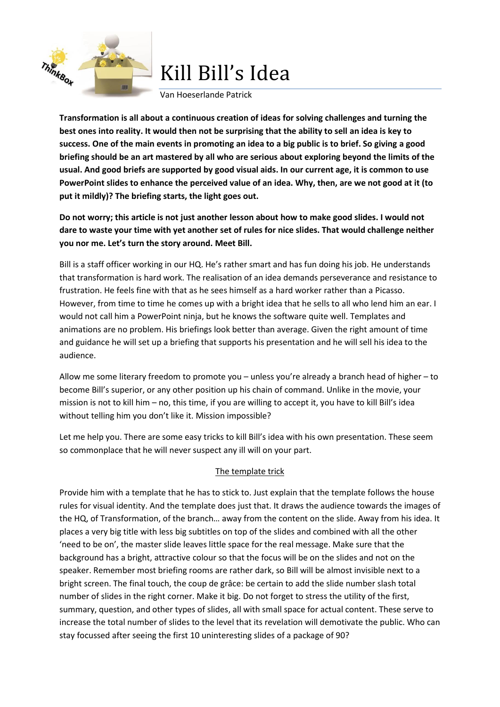

Kill Bill's Idea

#### Van Hoeserlande Patrick

**Transformation is all about a continuous creation of ideas for solving challenges and turning the best ones into reality. It would then not be surprising that the ability to sell an idea is key to success. One of the main events in promoting an idea to a big public is to brief. So giving a good briefing should be an art mastered by all who are serious about exploring beyond the limits of the usual. And good briefs are supported by good visual aids. In our current age, it is common to use PowerPoint slides to enhance the perceived value of an idea. Why, then, are we not good at it (to put it mildly)? The briefing starts, the light goes out.**

**Do not worry; this article is not just another lesson about how to make good slides. I would not dare to waste your time with yet another set of rules for nice slides. That would challenge neither you nor me. Let's turn the story around. Meet Bill.**

Bill is a staff officer working in our HQ. He's rather smart and has fun doing his job. He understands that transformation is hard work. The realisation of an idea demands perseverance and resistance to frustration. He feels fine with that as he sees himself as a hard worker rather than a Picasso. However, from time to time he comes up with a bright idea that he sells to all who lend him an ear. I would not call him a PowerPoint ninja, but he knows the software quite well. Templates and animations are no problem. His briefings look better than average. Given the right amount of time and guidance he will set up a briefing that supports his presentation and he will sell his idea to the audience.

Allow me some literary freedom to promote you – unless you're already a branch head of higher – to become Bill's superior, or any other position up his chain of command. Unlike in the movie, your mission is not to kill him – no, this time, if you are willing to accept it, you have to kill Bill's idea without telling him you don't like it. Mission impossible?

Let me help you. There are some easy tricks to kill Bill's idea with his own presentation. These seem so commonplace that he will never suspect any ill will on your part.

#### The template trick

Provide him with a template that he has to stick to. Just explain that the template follows the house rules for visual identity. And the template does just that. It draws the audience towards the images of the HQ, of Transformation, of the branch… away from the content on the slide. Away from his idea. It places a very big title with less big subtitles on top of the slides and combined with all the other 'need to be on', the master slide leaves little space for the real message. Make sure that the background has a bright, attractive colour so that the focus will be on the slides and not on the speaker. Remember most briefing rooms are rather dark, so Bill will be almost invisible next to a bright screen. The final touch, the coup de grâce: be certain to add the slide number slash total number of slides in the right corner. Make it big. Do not forget to stress the utility of the first, summary, question, and other types of slides, all with small space for actual content. These serve to increase the total number of slides to the level that its revelation will demotivate the public. Who can stay focussed after seeing the first 10 uninteresting slides of a package of 90?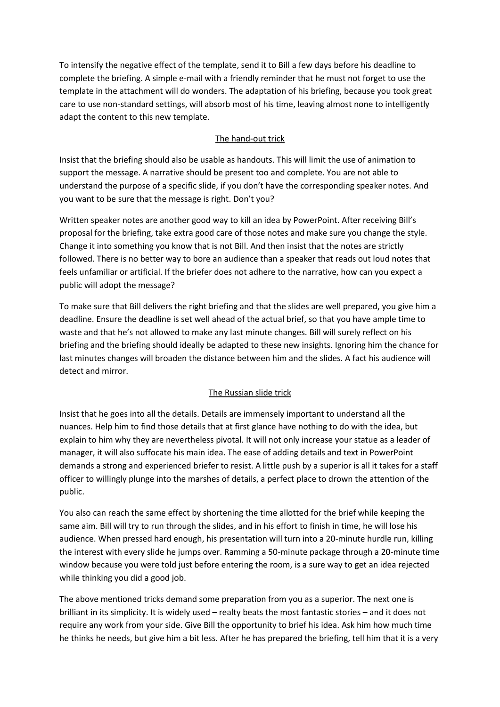To intensify the negative effect of the template, send it to Bill a few days before his deadline to complete the briefing. A simple e-mail with a friendly reminder that he must not forget to use the template in the attachment will do wonders. The adaptation of his briefing, because you took great care to use non-standard settings, will absorb most of his time, leaving almost none to intelligently adapt the content to this new template.

# The hand-out trick

Insist that the briefing should also be usable as handouts. This will limit the use of animation to support the message. A narrative should be present too and complete. You are not able to understand the purpose of a specific slide, if you don't have the corresponding speaker notes. And you want to be sure that the message is right. Don't you?

Written speaker notes are another good way to kill an idea by PowerPoint. After receiving Bill's proposal for the briefing, take extra good care of those notes and make sure you change the style. Change it into something you know that is not Bill. And then insist that the notes are strictly followed. There is no better way to bore an audience than a speaker that reads out loud notes that feels unfamiliar or artificial. If the briefer does not adhere to the narrative, how can you expect a public will adopt the message?

To make sure that Bill delivers the right briefing and that the slides are well prepared, you give him a deadline. Ensure the deadline is set well ahead of the actual brief, so that you have ample time to waste and that he's not allowed to make any last minute changes. Bill will surely reflect on his briefing and the briefing should ideally be adapted to these new insights. Ignoring him the chance for last minutes changes will broaden the distance between him and the slides. A fact his audience will detect and mirror.

# The Russian slide trick

Insist that he goes into all the details. Details are immensely important to understand all the nuances. Help him to find those details that at first glance have nothing to do with the idea, but explain to him why they are nevertheless pivotal. It will not only increase your statue as a leader of manager, it will also suffocate his main idea. The ease of adding details and text in PowerPoint demands a strong and experienced briefer to resist. A little push by a superior is all it takes for a staff officer to willingly plunge into the marshes of details, a perfect place to drown the attention of the public.

You also can reach the same effect by shortening the time allotted for the brief while keeping the same aim. Bill will try to run through the slides, and in his effort to finish in time, he will lose his audience. When pressed hard enough, his presentation will turn into a 20-minute hurdle run, killing the interest with every slide he jumps over. Ramming a 50-minute package through a 20-minute time window because you were told just before entering the room, is a sure way to get an idea rejected while thinking you did a good job.

The above mentioned tricks demand some preparation from you as a superior. The next one is brilliant in its simplicity. It is widely used – realty beats the most fantastic stories – and it does not require any work from your side. Give Bill the opportunity to brief his idea. Ask him how much time he thinks he needs, but give him a bit less. After he has prepared the briefing, tell him that it is a very